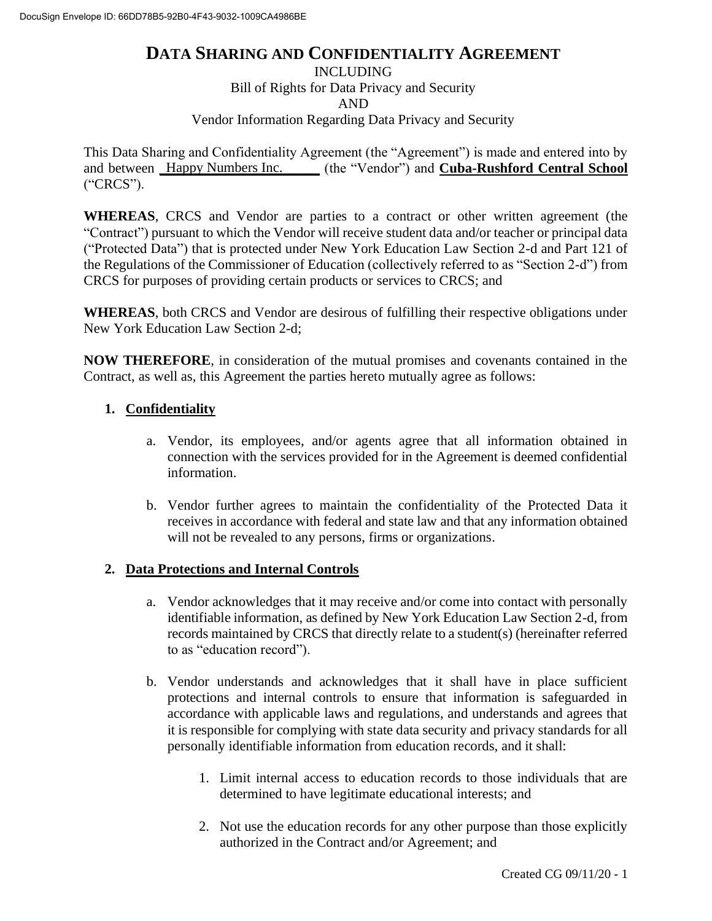## **DATA SHARING AND CONFIDENTIALITY AGREEMENT**

INCLUDING

Bill of Rights for Data Privacy and Security

AND

Vendor Information Regarding Data Privacy and Security

This Data Sharing and Confidentiality Agreement (the "Agreement") is made and entered into by and between **Happy Numbers Inc.** (the "Vendor") and **Cuba-Rushford Central School** ("CRCS").

**WHEREAS**, CRCS and Vendor are parties to a contract or other written agreement (the "Contract") pursuant to which the Vendor will receive student data and/or teacher or principal data ("Protected Data") that is protected under New York Education Law Section 2-d and Part 121 of the Regulations of the Commissioner of Education (collectively referred to as "Section 2-d") from CRCS for purposes of providing certain products or services to CRCS; and

**WHEREAS**, both CRCS and Vendor are desirous of fulfilling their respective obligations under New York Education Law Section 2-d;

**NOW THEREFORE**, in consideration of the mutual promises and covenants contained in the Contract, as well as, this Agreement the parties hereto mutually agree as follows:

### **1. Confidentiality**

- a. Vendor, its employees, and/or agents agree that all information obtained in connection with the services provided for in the Agreement is deemed confidential information.
- b. Vendor further agrees to maintain the confidentiality of the Protected Data it receives in accordance with federal and state law and that any information obtained will not be revealed to any persons, firms or organizations.

### **2. Data Protections and Internal Controls**

- a. Vendor acknowledges that it may receive and/or come into contact with personally identifiable information, as defined by New York Education Law Section 2-d, from records maintained by CRCS that directly relate to a student(s) (hereinafter referred to as "education record").
- b. Vendor understands and acknowledges that it shall have in place sufficient protections and internal controls to ensure that information is safeguarded in accordance with applicable laws and regulations, and understands and agrees that it is responsible for complying with state data security and privacy standards for all personally identifiable information from education records, and it shall:
	- 1. Limit internal access to education records to those individuals that are determined to have legitimate educational interests; and
	- 2. Not use the education records for any other purpose than those explicitly authorized in the Contract and/or Agreement; and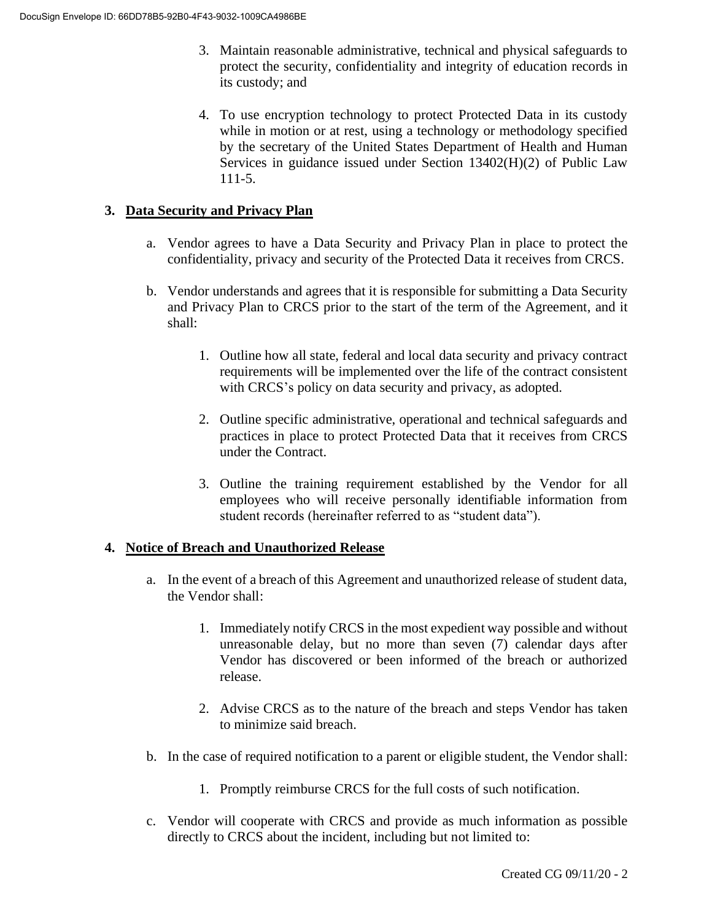- 3. Maintain reasonable administrative, technical and physical safeguards to protect the security, confidentiality and integrity of education records in its custody; and
- 4. To use encryption technology to protect Protected Data in its custody while in motion or at rest, using a technology or methodology specified by the secretary of the United States Department of Health and Human Services in guidance issued under Section 13402(H)(2) of Public Law 111-5.

### **3. Data Security and Privacy Plan**

- a. Vendor agrees to have a Data Security and Privacy Plan in place to protect the confidentiality, privacy and security of the Protected Data it receives from CRCS.
- b. Vendor understands and agrees that it is responsible for submitting a Data Security and Privacy Plan to CRCS prior to the start of the term of the Agreement, and it shall:
	- 1. Outline how all state, federal and local data security and privacy contract requirements will be implemented over the life of the contract consistent with CRCS's policy on data security and privacy, as adopted.
	- 2. Outline specific administrative, operational and technical safeguards and practices in place to protect Protected Data that it receives from CRCS under the Contract.
	- 3. Outline the training requirement established by the Vendor for all employees who will receive personally identifiable information from student records (hereinafter referred to as "student data").

#### **4. Notice of Breach and Unauthorized Release**

- a. In the event of a breach of this Agreement and unauthorized release of student data, the Vendor shall:
	- 1. Immediately notify CRCS in the most expedient way possible and without unreasonable delay, but no more than seven (7) calendar days after Vendor has discovered or been informed of the breach or authorized release.
	- 2. Advise CRCS as to the nature of the breach and steps Vendor has taken to minimize said breach.
- b. In the case of required notification to a parent or eligible student, the Vendor shall:
	- 1. Promptly reimburse CRCS for the full costs of such notification.
- c. Vendor will cooperate with CRCS and provide as much information as possible directly to CRCS about the incident, including but not limited to: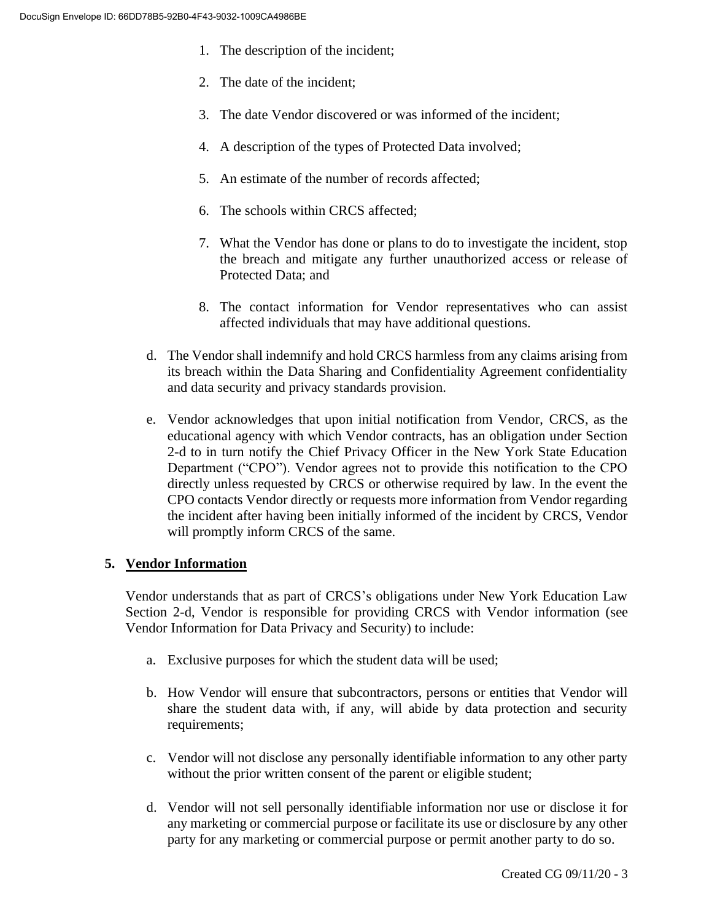- 1. The description of the incident;
- 2. The date of the incident;
- 3. The date Vendor discovered or was informed of the incident;
- 4. A description of the types of Protected Data involved;
- 5. An estimate of the number of records affected;
- 6. The schools within CRCS affected;
- 7. What the Vendor has done or plans to do to investigate the incident, stop the breach and mitigate any further unauthorized access or release of Protected Data; and
- 8. The contact information for Vendor representatives who can assist affected individuals that may have additional questions.
- d. The Vendor shall indemnify and hold CRCS harmless from any claims arising from its breach within the Data Sharing and Confidentiality Agreement confidentiality and data security and privacy standards provision.
- e. Vendor acknowledges that upon initial notification from Vendor, CRCS, as the educational agency with which Vendor contracts, has an obligation under Section 2-d to in turn notify the Chief Privacy Officer in the New York State Education Department ("CPO"). Vendor agrees not to provide this notification to the CPO directly unless requested by CRCS or otherwise required by law. In the event the CPO contacts Vendor directly or requests more information from Vendor regarding the incident after having been initially informed of the incident by CRCS, Vendor will promptly inform CRCS of the same.

### **5. Vendor Information**

Vendor understands that as part of CRCS's obligations under New York Education Law Section 2-d, Vendor is responsible for providing CRCS with Vendor information (see Vendor Information for Data Privacy and Security) to include:

- a. Exclusive purposes for which the student data will be used;
- b. How Vendor will ensure that subcontractors, persons or entities that Vendor will share the student data with, if any, will abide by data protection and security requirements;
- c. Vendor will not disclose any personally identifiable information to any other party without the prior written consent of the parent or eligible student;
- d. Vendor will not sell personally identifiable information nor use or disclose it for any marketing or commercial purpose or facilitate its use or disclosure by any other party for any marketing or commercial purpose or permit another party to do so.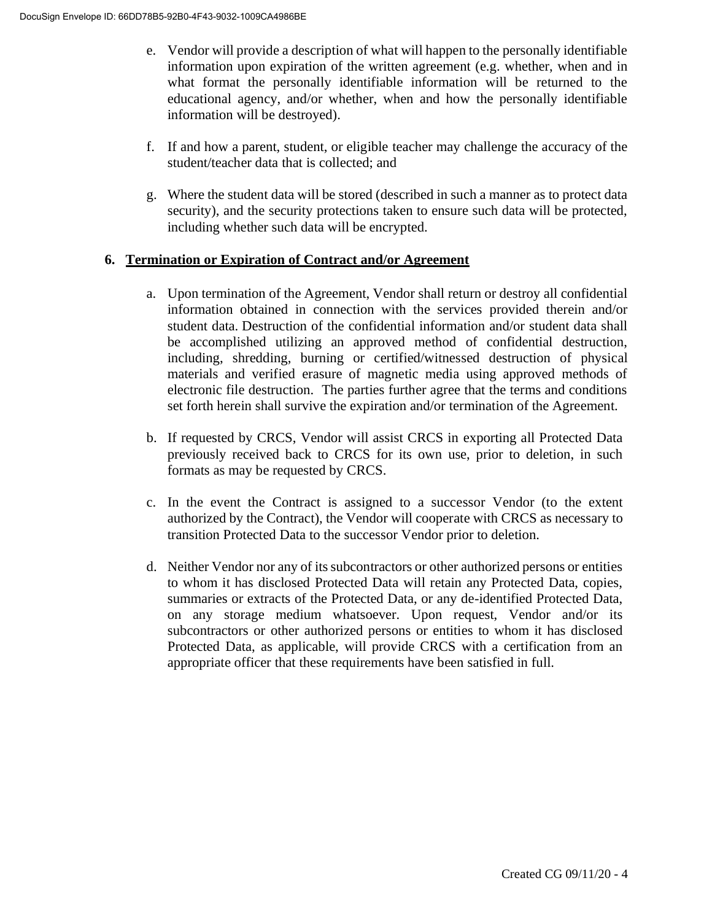- e. Vendor will provide a description of what will happen to the personally identifiable information upon expiration of the written agreement (e.g. whether, when and in what format the personally identifiable information will be returned to the educational agency, and/or whether, when and how the personally identifiable information will be destroyed).
- f. If and how a parent, student, or eligible teacher may challenge the accuracy of the student/teacher data that is collected; and
- g. Where the student data will be stored (described in such a manner as to protect data security), and the security protections taken to ensure such data will be protected, including whether such data will be encrypted.

### **6. Termination or Expiration of Contract and/or Agreement**

- a. Upon termination of the Agreement, Vendor shall return or destroy all confidential information obtained in connection with the services provided therein and/or student data. Destruction of the confidential information and/or student data shall be accomplished utilizing an approved method of confidential destruction, including, shredding, burning or certified/witnessed destruction of physical materials and verified erasure of magnetic media using approved methods of electronic file destruction. The parties further agree that the terms and conditions set forth herein shall survive the expiration and/or termination of the Agreement.
- b. If requested by CRCS, Vendor will assist CRCS in exporting all Protected Data previously received back to CRCS for its own use, prior to deletion, in such formats as may be requested by CRCS.
- c. In the event the Contract is assigned to a successor Vendor (to the extent authorized by the Contract), the Vendor will cooperate with CRCS as necessary to transition Protected Data to the successor Vendor prior to deletion.
- d. Neither Vendor nor any of its subcontractors or other authorized persons or entities to whom it has disclosed Protected Data will retain any Protected Data, copies, summaries or extracts of the Protected Data, or any de-identified Protected Data, on any storage medium whatsoever. Upon request, Vendor and/or its subcontractors or other authorized persons or entities to whom it has disclosed Protected Data, as applicable, will provide CRCS with a certification from an appropriate officer that these requirements have been satisfied in full.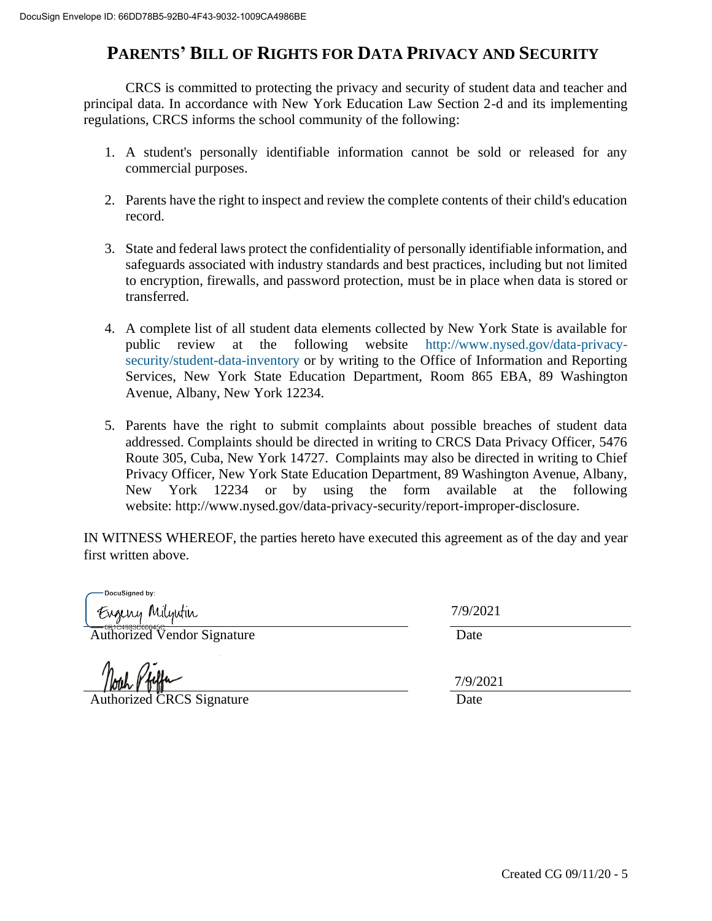# **PARENTS' BILL OF RIGHTS FOR DATA PRIVACY AND SECURITY**

CRCS is committed to protecting the privacy and security of student data and teacher and principal data. In accordance with New York Education Law Section 2-d and its implementing regulations, CRCS informs the school community of the following:

- 1. A student's personally identifiable information cannot be sold or released for any commercial purposes.
- 2. Parents have the right to inspect and review the complete contents of their child's education record.
- 3. State and federal laws protect the confidentiality of personally identifiable information, and safeguards associated with industry standards and best practices, including but not limited to encryption, firewalls, and password protection, must be in place when data is stored or transferred.
- 4. A complete list of all student data elements collected by New York State is available for public review at the following website http://www.nysed.gov/data-privacysecurity/student-data-inventory or by writing to the Office of Information and Reporting Services, New York State Education Department, Room 865 EBA, 89 Washington Avenue, Albany, New York 12234.
- 5. Parents have the right to submit complaints about possible breaches of student data addressed. Complaints should be directed in writing to CRCS Data Privacy Officer, 5476 Route 305, Cuba, New York 14727. Complaints may also be directed in writing to Chief Privacy Officer, New York State Education Department, 89 Washington Avenue, Albany, New York 12234 or by using the form available at the following website: http://www.nysed.gov/data-privacy-security/report-improper-disclosure.

IN WITNESS WHEREOF, the parties hereto have executed this agreement as of the day and year first written above.

DocuSianed by: Eugeny Milyutin

Authorized Vendor Signature Date

Authorized CRCS Signature Date

7/9/2021 7/9/2021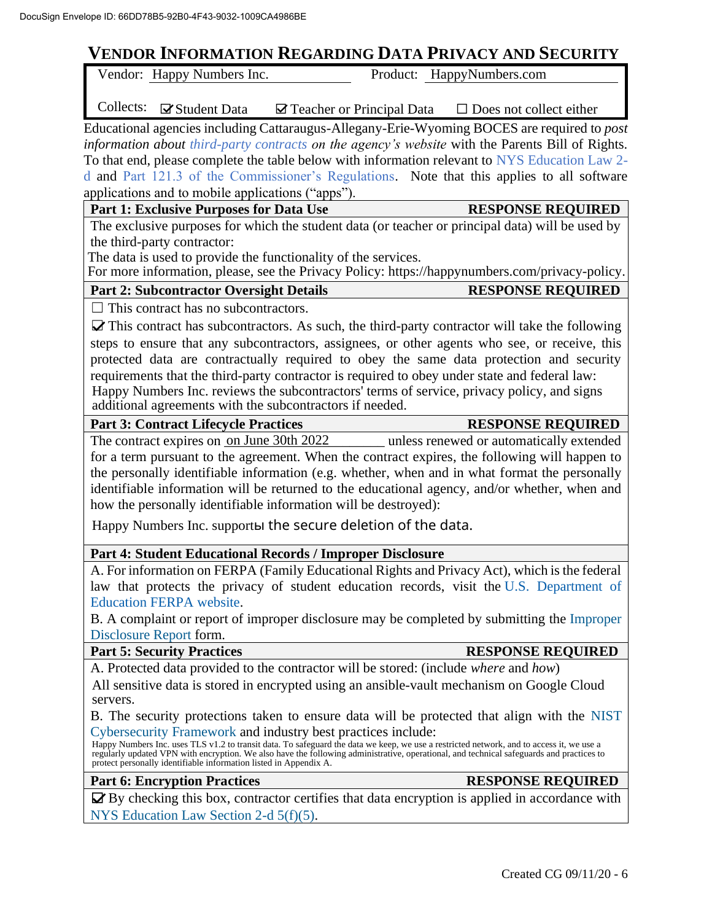# **VENDOR INFORMATION REGARDING DATA PRIVACY AND SECURITY**

|          | VENDOR INFORMATION REGARDING DATA PRIVACY AND SECURITY            |                                                                                      |                                                                                                                                                                                                                                |
|----------|-------------------------------------------------------------------|--------------------------------------------------------------------------------------|--------------------------------------------------------------------------------------------------------------------------------------------------------------------------------------------------------------------------------|
|          | Vendor: Happy Numbers Inc.                                        |                                                                                      | Product: HappyNumbers.com                                                                                                                                                                                                      |
|          | Collects: <b>⊠</b> Student Data                                   | $\boxtimes$ Teacher or Principal Data                                                | $\Box$ Does not collect either                                                                                                                                                                                                 |
|          |                                                                   |                                                                                      | Educational agencies including Cattaraugus-Allegany-Erie-Wyoming BOCES are required to <i>post</i>                                                                                                                             |
|          |                                                                   |                                                                                      | information about third-party contracts on the agency's website with the Parents Bill of Rights.                                                                                                                               |
|          |                                                                   |                                                                                      | To that end, please complete the table below with information relevant to NYS Education Law 2-                                                                                                                                 |
|          |                                                                   |                                                                                      | d and Part 121.3 of the Commissioner's Regulations. Note that this applies to all software                                                                                                                                     |
|          | applications and to mobile applications ("apps").                 |                                                                                      | <b>RESPONSE REQUIRED</b>                                                                                                                                                                                                       |
|          | <b>Part 1: Exclusive Purposes for Data Use</b>                    |                                                                                      | The exclusive purposes for which the student data (or teacher or principal data) will be used by                                                                                                                               |
|          | the third-party contractor:                                       |                                                                                      |                                                                                                                                                                                                                                |
|          |                                                                   | The data is used to provide the functionality of the services.                       |                                                                                                                                                                                                                                |
|          |                                                                   |                                                                                      | For more information, please, see the Privacy Policy: https://happynumbers.com/privacy-policy.                                                                                                                                 |
|          | <b>Part 2: Subcontractor Oversight Details</b>                    |                                                                                      | <b>RESPONSE REQUIRED</b>                                                                                                                                                                                                       |
|          | $\Box$ This contract has no subcontractors.                       |                                                                                      |                                                                                                                                                                                                                                |
|          |                                                                   |                                                                                      | $\triangleright$ This contract has subcontractors. As such, the third-party contractor will take the following                                                                                                                 |
|          |                                                                   |                                                                                      | steps to ensure that any subcontractors, assignees, or other agents who see, or receive, this                                                                                                                                  |
|          |                                                                   |                                                                                      | protected data are contractually required to obey the same data protection and security                                                                                                                                        |
|          |                                                                   |                                                                                      | requirements that the third-party contractor is required to obey under state and federal law:                                                                                                                                  |
|          |                                                                   |                                                                                      | Happy Numbers Inc. reviews the subcontractors' terms of service, privacy policy, and signs                                                                                                                                     |
|          |                                                                   | additional agreements with the subcontractors if needed.                             |                                                                                                                                                                                                                                |
|          | <b>Part 3: Contract Lifecycle Practices</b>                       |                                                                                      | <b>RESPONSE REQUIRED</b>                                                                                                                                                                                                       |
|          |                                                                   |                                                                                      | The contract expires on <u>on June 30th 2022</u> unless renewed or automatically extended                                                                                                                                      |
|          |                                                                   |                                                                                      | for a term pursuant to the agreement. When the contract expires, the following will happen to                                                                                                                                  |
|          |                                                                   |                                                                                      | the personally identifiable information (e.g. whether, when and in what format the personally<br>identifiable information will be returned to the educational agency, and/or whether, when and                                 |
|          |                                                                   | how the personally identifiable information will be destroyed):                      |                                                                                                                                                                                                                                |
|          |                                                                   | Happy Numbers Inc. supportы the secure deletion of the data.                         |                                                                                                                                                                                                                                |
|          |                                                                   | Part 4: Student Educational Records / Improper Disclosure                            |                                                                                                                                                                                                                                |
|          |                                                                   |                                                                                      | A. For information on FERPA (Family Educational Rights and Privacy Act), which is the federal                                                                                                                                  |
|          |                                                                   |                                                                                      | law that protects the privacy of student education records, visit the U.S. Department of                                                                                                                                       |
|          | <b>Education FERPA website.</b>                                   |                                                                                      |                                                                                                                                                                                                                                |
|          | Disclosure Report form.                                           |                                                                                      | B. A complaint or report of improper disclosure may be completed by submitting the Improper                                                                                                                                    |
|          | <b>Part 5: Security Practices</b>                                 |                                                                                      | <b>RESPONSE REQUIRED</b>                                                                                                                                                                                                       |
|          |                                                                   | A. Protected data provided to the contractor will be stored: (include where and how) |                                                                                                                                                                                                                                |
| servers. |                                                                   |                                                                                      | All sensitive data is stored in encrypted using an ansible-vault mechanism on Google Cloud                                                                                                                                     |
|          |                                                                   | Cybersecurity Framework and industry best practices include:                         | B. The security protections taken to ensure data will be protected that align with the NIST                                                                                                                                    |
|          | protect personally identifiable information listed in Appendix A. |                                                                                      | Happy Numbers Inc. uses TLS v1.2 to transit data. To safeguard the data we keep, we use a restricted network, and to access it, we use a regularly updated VPN with encryption. We also have the following administrative, ope |
|          | <b>Part 6: Encryption Practices</b>                               |                                                                                      | <b>RESPONSE REQUIRED</b>                                                                                                                                                                                                       |
|          | NYS Education Law Section 2-d 5(f)(5).                            |                                                                                      | $\blacktriangleright$ By checking this box, contractor certifies that data encryption is applied in accordance with                                                                                                            |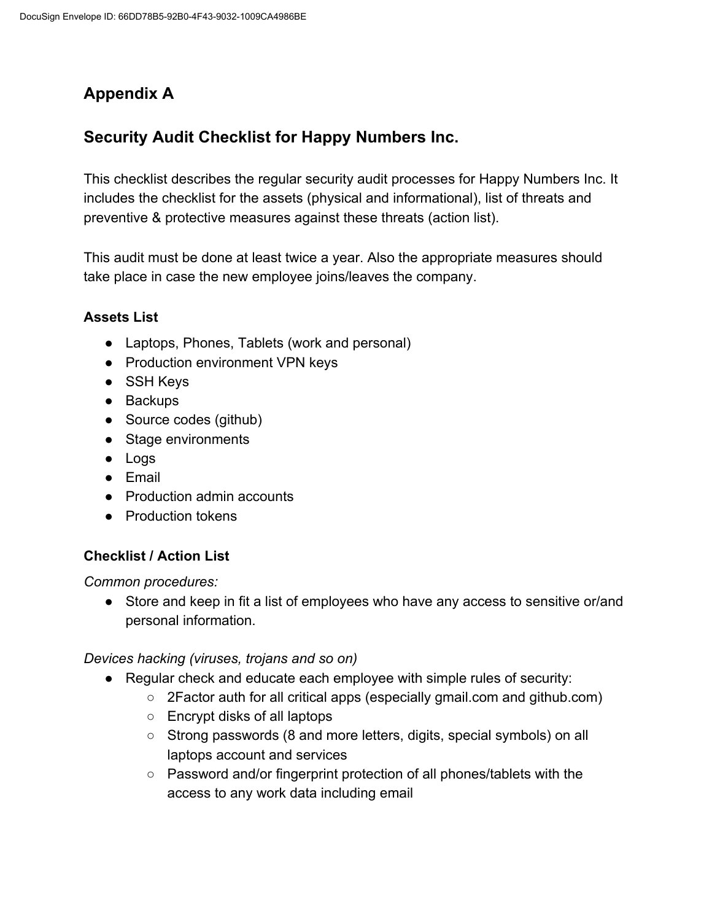# **Appendix A**

# **Security Audit Checklist for Happy Numbers Inc.**

This checklist describes the regular security audit processes for Happy Numbers Inc. It includes the checklist for the assets (physical and informational), list of threats and preventive & protective measures against these threats (action list).

This audit must be done at least twice a year. Also the appropriate measures should take place in case the new employee joins/leaves the company.

## **Assets List**

- Laptops, Phones, Tablets (work and personal)
- Production environment VPN keys
- SSH Keys
- Backups
- Source codes (github)
- Stage environments
- Logs
- Email
- Production admin accounts
- Production tokens

## **Checklist / Action List**

*Common procedures:*

● Store and keep in fit a list of employees who have any access to sensitive or/and personal information.

*Devices hacking (viruses, trojans and so on)*

- Regular check and educate each employee with simple rules of security:
	- 2Factor auth for all critical apps (especially gmail.com and github.com)
	- Encrypt disks of all laptops
	- Strong passwords (8 and more letters, digits, special symbols) on all laptops account and services
	- Password and/or fingerprint protection of all phones/tablets with the access to any work data including email